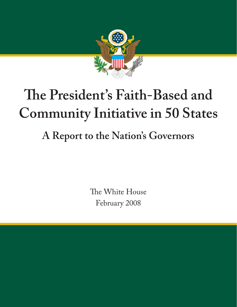

# **The President's Faith-Based and Community Initiative in 50 States**

## **A Report to the Nation's Governors**

The White House February 2008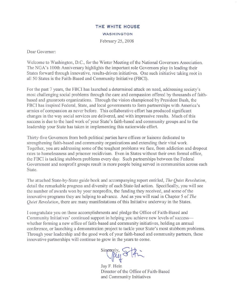#### THE WHITE HOUSE **WASHINGTON** February 25, 2008

Dear Governor:

Welcome to Washington, D.C., for the Winter Meeting of the National Governors Association. The NGA's 100th Anniversary highlights the important role Governors play in leading their States forward through innovative, results-driven initiatives. One such initiative taking root in all 50 States is the Faith-Based and Community Initiative (FBCI).

For the past 7 years, the FBCI has launched a determined attack on need, addressing society's most challenging social problems through the care and compassion offered by thousands of faithbased and grassroots organizations. Through the vision championed by President Bush, the FBCI has inspired Federal, State, and local governments to form partnerships with America's annies of compassion as never before. This collaborative effort has produced signi ficant changes in the way social services are delivered, and with impressive results. Much of this success is due to the hard work of your State's faith-based and community groups and to the leadership your State has taken in implementing this nationwide effort.

Thirty~five Governors from both political parties have offices or liaisons dedicated to strengthening faith-based and community organizations and extending their vital work. Together, you are addressing some of the toughest problems we face, from addiction and dropout rates to homelessness and prisoner recidivism. Even in States without their own formal office, the FBCI is tackling stubborn problems every day. Such partnerships between the Federal Government and nonprofit groups result in more people being served in communities across each State.

The attached State-by-State guide book and accompanying report entitled, *The Quiet Revolution*, detail the remarkable progress and diversity of each State-led action. Specifically, you will see the number of awards won by your nonprofits, the funding they received, and some of the innovative programs they are helping to advance. And as you will read in Chapter 5 of *The Quiet Revolution*, there are many manifestations of this Initiative underway in the States.

I congratulate you on these accomplishments and pledge the Office of Faith-Based and Community Initiatives' continued support in helping you achieve new levels of successwhether forming a new office of faith-based and community initiatives, holding an annual conference, or launching a demonstration project to tackle your State's most stubborn problems. Through your leadership and the good work of your faith-based and community partners, these innovative partnerships will continue to grow in the years to come.

Sincerely, Sthi

Jay F. Hein Director of the Office of Faith-Based and Community Initiatives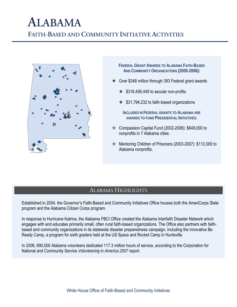### **ALABAMA FAITH-BASED AND COMMUNITY INITIATIVE ACTIVITIES**



**FEDERAL GRANT AWARDS TO ALABAMA FAITH-BASED AND COMMUNITY ORGANIZATIONS (2005-2006):**

- $\star$  Over \$348 million through 393 Federal grant awards
	- $\star$  \$316,456,449 to secular non-profits
	- $\star$  \$31,794,232 to faith-based organizations

**INCLUDED IN FEDERAL GRANTS TO ALABAMA ARE AWARDS TO FUND PRESIDENTIAL INITIATIVES:**

- $\star$  Compassion Capital Fund (2002-2006): \$649,000 to nonprofits in 7 Alabama cities.
- $\hat{\mathbf{x}}$  Mentoring Children of Prisoners (2003-2007): \$112,000 to Alabama nonprofits.

#### ALABAMA HIGHLIGHTS

Established in 2004, the Governor's Faith-Based and Community Initiatives Office houses both the AmeriCorps State program and the Alabama Citizen Corps program.

In response to Hurricane Katrina, the Alabama FBCI Office created the Alabama Interfaith Disaster Network which engages with and educates primarily small, often rural faith-based organizations. The Office also partners with faithbased and community organizations in its statewide disaster preparedness campaign, including the innovative Be Ready Camp, a program for sixth graders held at the US Space and Rocket Camp in Huntsville.

In 2006, 890,000 Alabama volunteers dedicated 117.3 million hours of service, according to the Corporation for National and Community Service *Volunteering in America 2007* report.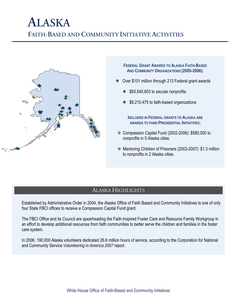### **ALASKA FAITH-BASED AND COMMUNITY INITIATIVE ACTIVITIES**



**FEDERAL GRANT AWARDS TO ALASKA FAITH-BASED AND COMMUNITY ORGANIZATIONS (2005-2006):**

- $\star$  Over \$101 million through 213 Federal grant awards
	- $\star$  \$93,540,603 to secular nonprofits
	- $\star$  \$8,210,475 to faith-based organizations

**INCLUDED IN FEDERAL GRANTS TO ALASKA ARE AWARDS TO FUND PRESIDENTIAL INITIATIVES:**

- $\hat{\mathbf{x}}$  Compassion Capital Fund (2002-2006): \$580,000 to nonprofits in 5 Alaska cities.
- $\hat{x}$  Mentoring Children of Prisoners (2003-2007): \$1.3 million to nonprofits in 2 Alaska cities.

#### ALASKA HIGHLIGHTS

Established by Administrative Order in 2004, the Alaska Office of Faith Based and Community Initiatives is one of only four State FBCI offices to receive a Compassion Capital Fund grant.

The FBCI Office and its Council are spearheading the Faith-Inspired Foster Care and Resource Family Workgroup in an effort to develop additional resources from faith communities to better serve the children and families in the foster care system.

In 2006, 190,000 Alaska volunteers dedicated 26.6 million hours of service, according to the Corporation for National and Community Service *Volunteering in America 2007* report.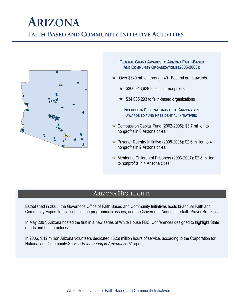### **ARIZONA FAITH-BASED AND COMMUNITY INITIATIVE ACTIVITIES**



**FEDERAL GRANT AWARDS TO ARIZONA FAITH-BASED AND COMMUNITY ORGANIZATIONS (2005-2006):**

- $\star$  Over \$340 million through 491 Federal grant awards
	- $\star$  \$306,913,628 to secular nonprofits
	- $\star$  \$34,085,293 to faith-based organizations

**INCLUDED IN FEDERAL GRANTS TO ARIZONA ARE AWARDS TO FUND PRESIDENTIAL INITIATIVES:**

- $\hat{\mathbf{x}}$  Compassion Capital Fund (2002-2006): \$3.7 million to nonprofits in 6 Arizona cities.
- $\hat{\mathbf{x}}$  Prisoner Reentry Initiative (2005-2006): \$2.6 million to 4 nonprofits in 2 Arizona cities.
- $\hat{\mathbf{x}}$  Mentoring Children of Prisoners (2003-2007): \$2.8 million to nonprofits in 4 Arizona cities.

#### ARIZONA HIGHLIGHTS

Established in 2005, the Governor's Office of Faith Based and Community Initiatives hosts bi-annual Faith and Community Expos, topical summits on programmatic issues, and the Governor's Annual Interfaith Prayer Breakfast.

In May 2007, Arizona hosted the first in a new series of White House FBCI Conferences designed to highlight State efforts and best practices.

In 2006, 1.12 million Arizona volunteers dedicated 182.9 million hours of service, according to the Corporation for National and Community Service *Volunteering in America 2007* report.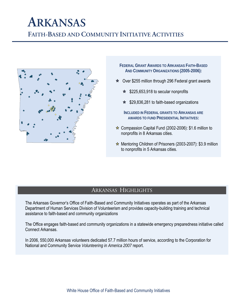## **ARKANSAS**

**FAITH-BASED AND COMMUNITY INITIATIVE ACTIVITIES**



- **FEDERAL GRANT AWARDS TO ARKANSAS FAITH-BASED AND COMMUNITY ORGANIZATIONS (2005-2006):**
- $\star$  Over \$255 million through 296 Federal grant awards
	- $\star$  \$225,653,918 to secular nonprofits
	- $\star$  \$29,836,281 to faith-based organizations
	- **INCLUDED IN FEDERAL GRANTS TO ARKANSAS ARE AWARDS TO FUND PRESIDENTIAL INITIATIVES:**
- $\star$  Compassion Capital Fund (2002-2006): \$1.6 million to nonprofits in 8 Arkansas cities.
- Mentoring Children of Prisoners (2003-2007): \$3.9 million to nonprofits in 5 Arkansas cities.

#### ARKANSAS HIGHLIGHTS

The Arkansas Governor's Office of Faith-Based and Community Initiatives operates as part of the Arkansas Department of Human Services Division of Volunteerism and provides capacity-building training and technical assistance to faith-based and community organizations

The Office engages faith-based and community organizations in a statewide emergency preparedness initiative called Connect Arkansas.

In 2006, 550,000 Arkansas volunteers dedicated 57.7 million hours of service, according to the Corporation for National and Community Service *Volunteering in America 2007* report.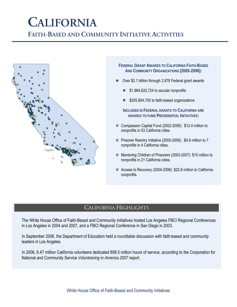## **CALIFORNIA**

**FAITH-BASED AND COMMUNITY INITIATIVE ACTIVITIES**



**FEDERAL GRANT AWARDS TO CALIFORNIA FAITH-BASED AND COMMUNITY ORGANIZATIONS (2005-2006):**

- Over \$2.1 billion through 2,978 Federal grant awards
	- $\angle$  \$1,984,620,724 to secular nonprofits
	- $\star$  \$205,854,700 to faith-based organizations

**INCLUDED IN FEDERAL GRANTS TO CALIFORNIA ARE AWARDS TO FUND PRESIDENTIAL INITIATIVES:**

- $\angle$  Compassion Capital Fund (2002-2006): \$12.4 million to nonprofits in 53 California cities.
- $\hat{x}$  Prisoner Reentry Initiative (2005-2006): \$4.6 million to 7 nonprofits in 4 California cities,
- $\star$  Mentoring Children of Prisoners (2003-2007): \$15 million to nonprofits in 21 California cities.
- $\hat{x}$  Access to Recovery (2004-2006): \$22.8 million to California nonprofits.

### CALIFORNIA HIGHLIGHTS

The White House Office of Faith-Based and Community Initiatives hosted Los Angeles FBCI Regional Conferences in Los Angeles in 2004 and 2007, and a FBCI Regional Conference in San Diego in 2003.

In September 2006, the Department of Education held a roundtable discussion with faith-based and community leaders in Los Angeles.

In 2006, 6.47 million California volunteers dedicated 858.5 million hours of service, according to the Corporation for National and Community Service *Volunteering in America 2007* report.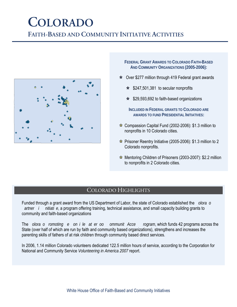## **COLORADO**

**FAITH-BASED AND COMMUNITY INITIATIVE ACTIVITIES**



- **FEDERAL GRANT AWARDS TO COLORADO FAITH-BASED AND COMMUNITY ORGANIZATIONS (2005-2006):**
- $\star$  Over \$277 million through 419 Federal grant awards
	- $\star$  \$247,501,381 to secular nonprofits
	- $\star$  \$29,593,692 to faith-based organizations

**INCLUDED IN FEDERAL GRANTS TO COLORADO ARE AWARDS TO FUND PRESIDENTIAL INITIATIVES:**

- $\star$  Compassion Capital Fund (2002-2006): \$1.3 million to nonprofits in 10 Colorado cities.
- $\hat{\varphi}$  Prisoner Reentry Initiative (2005-2006): \$1.3 million to 2 Colorado nonprofits.
- $\star$  Mentoring Children of Prisoners (2003-2007): \$2.2 million to nonprofits in 2 Colorado cities.

#### COLORADO HIGHLIGHTS

Funded through a grant award from the US Department of Labor, the state of Colorado established the *olora o artner i nitiati e*, a program offering training, technical assistance, and small capacity building grants to community and faith-based organizations

The *olora o romoting e on i le at er oo ommunit Acce rogram*, which funds 42 programs across the State (over half of which are run by faith and community based organizations), strengthens and increases the parenting skills of fathers of at risk children through community based direct services.

In 2006, 1.14 million Colorado volunteers dedicated 122.5 million hours of service, according to the Corporation for National and Community Service *Volunteering in America 2007* report.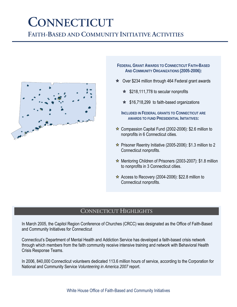## **CONNECTICUT**

**FAITH-BASED AND COMMUNITY INITIATIVE ACTIVITIES**



**FEDERAL GRANT AWARDS TO CONNECTICUT FAITH-BASED AND COMMUNITY ORGANIZATIONS (2005-2006):**

- $\star$  Over \$234 million through 464 Federal grant awards
	- $\star$  \$218,111,778 to secular nonprofits
	- $\star$  \$16,718,299 to faith-based organizations
	- **INCLUDED IN FEDERAL GRANTS TO CONNECTICUT ARE AWARDS TO FUND PRESIDENTIAL INITIATIVES:**
- $\hat{\mathbf{x}}$  Compassion Capital Fund (2002-2006): \$2.6 million to nonprofits in 6 Connecticut cities.
- $\hat{\mathbf{x}}$  Prisoner Reentry Initiative (2005-2006): \$1.3 million to 2 Connecticut nonprofits.
- $\hat{x}$  Mentoring Children of Prisoners (2003-2007): \$1.8 million to nonprofits in 3 Connecticut cities.
- $\hat{\mathbf{x}}$  Access to Recovery (2004-2006): \$22.8 million to Connecticut nonprofits.

#### CONNECTICUT HIGHLIGHTS

In March 2005, the Capitol Region Conference of Churches (CRCC) was designated as the Office of Faith-Based and Community Initiatives for Connecticut

Connecticut's Department of Mental Health and Addiction Service has developed a faith-based crisis network through which members from the faith community receive intensive training and network with Behavioral Health Crisis Response Teams.

In 2006, 840,000 Connecticut volunteers dedicated 113.6 million hours of service, according to the Corporation for National and Community Service *Volunteering in America 2007* report.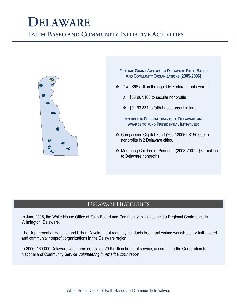## **DELAWARE**

**FAITH-BASED AND COMMUNITY INITIATIVE ACTIVITIES**



**FEDERAL GRANT AWARDS TO DELAWARE FAITH-BASED AND COMMUNITY ORGANIZATIONS (2005-2006)**

- $\star$  Over \$68 million through 116 Federal grant awards
	- $\star$  \$58,967,103 to secular nonprofits
	- $\star$  \$9,193,831 to faith-based organizations
	- **INCLUDED IN FEDERAL GRANTS TO DELAWARE ARE AWARDS TO FUND PRESIDENTIAL INITIATIVES:**
- $\star$  Compassion Capital Fund (2002-2006): \$150,000 to nonprofits in 2 Delaware cities.
- Mentoring Children of Prisoners (2003-2007): \$3.1 million to Delaware nonprofits.

### DELAWARE HIGHLIGHTS

In June 2006, the White House Office of Faith-Based and Community Initiatives held a Regional Conference in Wilmington, Delaware.

The Department of Housing and Urban Development regularly conducts free grant writing workshops for faith-based and community nonprofit organizations in the Delaware region.

In 2006, 160,000 Delaware volunteers dedicated 20.9 million hours of service, according to the Corporation for National and Community Service *Volunteering in America 2007* report.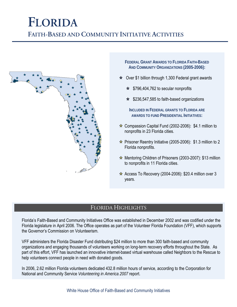### **FLORIDA FAITH-BASED AND COMMUNITY INITIATIVE ACTIVITIES**



- **FEDERAL GRANT AWARDS TO FLORIDA FAITH-BASED AND COMMUNITY ORGANIZATIONS (2005-2006):**
- $\star$  Over \$1 billion through 1,300 Federal grant awards
	- $\star$  \$796,404,762 to secular nonprofits
	- $\star$  \$236,547,585 to faith-based organizations
		- **INCLUDED IN FEDERAL GRANTS TO FLORIDA ARE AWARDS TO FUND PRESIDENTIAL INITIATIVES:**
- $\hat{\varphi}$  Compassion Capital Fund (2002-2006): \$4.1 million to nonprofits in 23 Florida cities.
- $\hat{\varphi}$  Prisoner Reentry Initiative (2005-2006): \$1.3 million to 2 Florida nonprofits.
- Mentoring Children of Prisoners (2003-2007): \$13 million to nonprofits in 11 Florida cities.
- $\hat{\mathbf{x}}$  Access To Recovery (2004-2006): \$20.4 million over 3 years.

### FLORIDA HIGHLIGHTS

Florida's Faith-Based and Community Initiatives Office was established in December 2002 and was codified under the Florida legislature in April 2006. The Office operates as part of the Volunteer Florida Foundation (VFF), which supports the Governor's Commission on Volunteerism.

VFF administers the Florida Disaster Fund distributing \$24 million to more than 300 faith-based and community organizations and engaging thousands of volunteers working on long-term recovery efforts throughout the State. As part of this effort, VFF has launched an innovative internet-based virtual warehouse called Neighbors to the Rescue to help volunteers connect people in need with donated goods.

In 2006, 2.62 million Florida volunteers dedicated 432.8 million hours of service, according to the Corporation for National and Community Service *Volunteering in America 2007* report.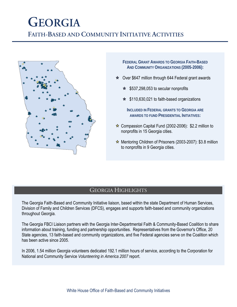### **GEORGIA FAITH-BASED AND COMMUNITY INITIATIVE ACTIVITIES**



**FEDERAL GRANT AWARDS TO GEORGIA FAITH-BASED AND COMMUNITY ORGANIZATIONS (2005-2006):**

- $\star$  Over \$647 million through 644 Federal grant awards
	- $\star$  \$537,298,053 to secular nonprofits
	- $\star$  \$110,630,021 to faith-based organizations

**INCLUDED IN FEDERAL GRANTS TO GEORGIA ARE AWARDS TO FUND PRESIDENTIAL INITIATIVES:**

- $\hat{\varphi}$  Compassion Capital Fund (2002-2006): \$2.2 million to nonprofits in 15 Georgia cities.
- $\hat{\mathbf{x}}$  Mentoring Children of Prisoners (2003-2007): \$3.8 million to nonprofits in 9 Georgia cities.

#### GEORGIA HIGHLIGHTS

The Georgia Faith-Based and Community Initiative liaison, based within the state Department of Human Services, Division of Family and Children Services (DFCS), engages and supports faith-based and community organizations throughout Georgia.

The Georgia FBCI Liaison partners with the Georgia Inter-Departmental Faith & Community-Based Coalition to share information about training, funding and partnership opportunities. Representatives from the Governor's Office, 20 State agencies, 13 faith-based and community organizations, and five Federal agencies serve on the Coalition which has been active since 2005.

In 2006, 1.54 million Georgia volunteers dedicated 192.1 million hours of service, according to the Corporation for National and Community Service *Volunteering in America 2007* report.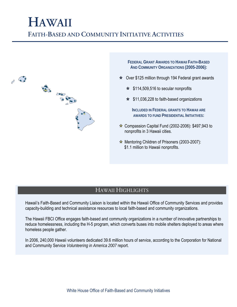### **HAWAII FAITH-BASED AND COMMUNITY INITIATIVE ACTIVITIES**



**FEDERAL GRANT AWARDS TO HAWAII FAITH-BASED AND COMMUNITY ORGANIZATIONS (2005-2006):**

- $\star$  Over \$125 million through 194 Federal grant awards
	- $\star$  \$114,509,516 to secular nonprofits
	- $\star$  \$11,036,228 to faith-based organizations

**INCLUDED IN FEDERAL GRANTS TO HAWAII ARE AWARDS TO FUND PRESIDENTIAL INITIATIVES:**

- $\hat{\mathbf{x}}$  Compassion Capital Fund (2002-2006): \$497,943 to nonprofits in 3 Hawaii cities.
- $\hat{\mathbf{x}}$  Mentoring Children of Prisoners (2003-2007): \$1.1 million to Hawaii nonprofits.

### HAWAII HIGHLIGHTS

Hawaii's Faith-Based and Community Liaison is located within the Hawaii Office of Community Services and provides capacity-building and technical assistance resources to local faith-based and community organizations.

The Hawaii FBCI Office engages faith-based and community organizations in a number of innovative partnerships to reduce homelessness, including the H-5 program, which converts buses into mobile shelters deployed to areas where homeless people gather.

In 2006, 240,000 Hawaii volunteers dedicated 39.6 million hours of service, according to the Corporation for National and Community Service *Volunteering in America 2007* report.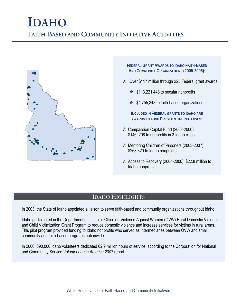### **IDAHO FAITH-BASED AND COMMUNITY INITIATIVE ACTIVITIES**



**FEDERAL GRANT AWARDS TO IDAHO FAITH-BASED AND COMMUNITY ORGANIZATIONS (2005-2006):**

- $\star$  Over \$117 million through 225 Federal grant awards
	- $\star$  \$113,221,443 to secular nonprofits
	- $\star$  \$4,755,348 to faith-based organizations

**INCLUDED IN FEDERAL GRANTS TO IDAHO ARE AWARDS TO FUND PRESIDENTIAL INITIATIVES:**

- $\star$  Compassion Capital Fund (2002-2006): \$146, 208 to nonprofits in 3 Idaho cities.
- $\hat{\mathbf{x}}$  Mentoring Children of Prisoners (2003-2007): \$268,320 to Idaho nonprofits.
- $\star$  Access to Recovery (2004-2006): \$22.8 million to Idaho nonprofits.

### IDAHO HIGHLIGHTS

In 2003, the State of Idaho appointed a liaison to serve faith-based and community organizations throughout Idaho.

Idaho participated in the Department of Justice's Office on Violence Against Women (OVW) Rural Domestic Violence and Child Victimization Grant Program to reduce domestic violence and increase services for victims in rural areas. This pilot program provided funding to Idaho nonprofits who served as intermediaries between OVW and small community and faith-based programs nationwide.

In 2006, 390,000 Idaho volunteers dedicated 62.9 million hours of service, according to the Corporation for National and Community Service *Volunteering in America 2007* report.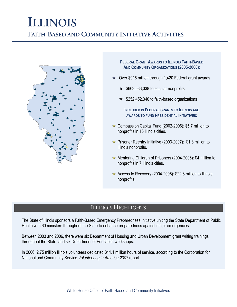### **ILLINOIS FAITH-BASED AND COMMUNITY INITIATIVE ACTIVITIES**



**FEDERAL GRANT AWARDS TO ILLINOIS FAITH-BASED AND COMMUNITY ORGANIZATIONS (2005-2006):**

- $\star$  Over \$915 million through 1,420 Federal grant awards
	- $\star$  \$663,533,338 to secular nonprofits
	- $\star$  \$252,452,340 to faith-based organizations

**INCLUDED IN FEDERAL GRANTS TO ILLINOIS ARE AWARDS TO FUND PRESIDENTIAL INITIATIVES:**

- $\hat{\mathbf{x}}$  Compassion Capital Fund (2002-2006): \$5.7 million to nonprofits in 15 Illinois cities.
- $\hat{\mathbf{x}}$  Prisoner Reentry Initiative (2003-2007): \$1.3 million to Illinois nonprofits.
- Mentoring Children of Prisoners (2004-2006): \$4 million to nonprofits in 7 Illinois cities.
- $\hat{\mathbf{x}}$  Access to Recovery (2004-2006): \$22.8 million to Illinois nonprofits.

### ILLINOIS HIGHLIGHTS

The State of Illinois sponsors a Faith-Based Emergency Preparedness Initiative uniting the State Department of Public Health with 60 ministers throughout the State to enhance preparedness against major emergencies.

Between 2003 and 2006, there were six Department of Housing and Urban Development grant writing trainings throughout the State, and six Department of Education workshops.

In 2006, 2.75 million Illinois volunteers dedicated 311.1 million hours of service, according to the Corporation for National and Community Service *Volunteering in America 2007* report.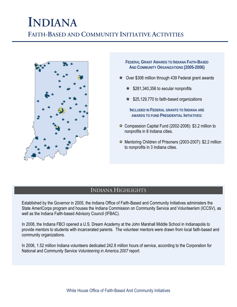### **INDIANA FAITH-BASED AND COMMUNITY INITIATIVE ACTIVITIES**



- **FEDERAL GRANT AWARDS TO INDIANA FAITH-BASED AND COMMUNITY ORGANIZATIONS (2005-2006)**
- $\star$  Over \$306 million through 439 Federal grant awards
	- $\star$  \$281,340,356 to secular nonprofits
	- $\star$  \$25,129,770 to faith-based organizations

**INCLUDED IN FEDERAL GRANTS TO INDIANA ARE AWARDS TO FUND PRESIDENTIAL INITIATIVES:**

- $\hat{\mathbf{x}}$  Compassion Capital Fund (2002-2006): \$3.2 million to nonprofits in 8 Indiana cities.
- $\star$  Mentoring Children of Prisoners (2003-2007): \$2.2 million to nonprofits in 3 Indiana cities.

#### INDIANA HIGHLIGHTS

Established by the Governor in 2005, the Indiana Office of Faith-Based and Community Initiatives administers the State AmeriCorps program and houses the Indiana Commission on Community Service and Volunteerism (ICCSV), as well as the Indiana Faith-based Advisory Council (IFBAC).

In 2008, the Indiana FBCI opened a U.S. Dream Academy at the John Marshall Middle School in Indianapolis to provide mentors to students with incarcerated parents. The volunteer mentors were drawn from local faith-based and community organizations.

In 2006, 1.52 million Indiana volunteers dedicated 242.8 million hours of service, according to the Corporation for National and Community Service *Volunteering in America 2007* report.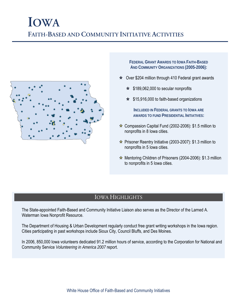### **IOWA FAITH-BASED AND COMMUNITY INITIATIVE ACTIVITIES**



**FEDERAL GRANT AWARDS TO IOWA FAITH-BASED AND COMMUNITY ORGANIZATIONS (2005-2006):**

- $\star$  Over \$204 million through 410 Federal grant awards
	- $\star$  \$189,062,000 to secular nonprofits
	- $\star$  \$15,916,000 to faith-based organizations

**INCLUDED IN FEDERAL GRANTS TO IOWA ARE AWARDS TO FUND PRESIDENTIAL INITIATIVES:**

- $\hat{\mathbf{x}}$  Compassion Capital Fund (2002-2006): \$1.5 million to nonprofits in 8 Iowa cities.
- $\hat{\mathbf{x}}$  Prisoner Reentry Initiative (2003-2007): \$1.3 million to nonprofits in 5 Iowa cities.
- $\hat{x}$  Mentoring Children of Prisoners (2004-2006): \$1.3 million to nonprofits in 5 Iowa cities.

### IOWA HIGHLIGHTS

The State-appointed Faith-Based and Community Initiative Liaison also serves as the Director of the Larned A. Waterman Iowa Nonprofit Resource.

The Department of Housing & Urban Development regularly conduct free grant writing workshops in the Iowa region. Cities participating in past workshops include Sioux City, Council Bluffs, and Des Moines.

In 2006, 850,000 Iowa volunteers dedicated 91.2 million hours of service, according to the Corporation for National and Community Service *Volunteering in America 2007* report.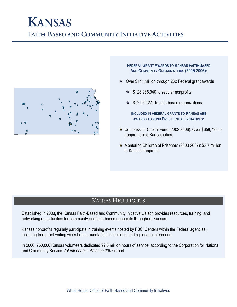### **KANSAS FAITH-BASED AND COMMUNITY INITIATIVE ACTIVITIES**



**FEDERAL GRANT AWARDS TO KANSAS FAITH-BASED AND COMMUNITY ORGANIZATIONS (2005-2006):**

- $\star$  Over \$141 million through 232 Federal grant awards
	- $\star$  \$128,986,940 to secular nonprofits
	- $\star$  \$12,969,271 to faith-based organizations

**INCLUDED IN FEDERAL GRANTS TO KANSAS ARE AWARDS TO FUND PRESIDENTIAL INITIATIVES:**

- $\hat{\varphi}$  Compassion Capital Fund (2002-2006): Over \$658,793 to nonprofits in 5 Kansas cities.
- $\hat{x}$  Mentoring Children of Prisoners (2003-2007): \$3.7 million to Kansas nonprofits.

### KANSAS HIGHLIGHTS

Established in 2003, the Kansas Faith-Based and Community Initiative Liaison provides resources, training, and networking opportunities for community and faith-based nonprofits throughout Kansas.

Kansas nonprofits regularly participate in training events hosted by FBCI Centers within the Federal agencies, including free grant writing workshops, roundtable discussions, and regional conferences.

In 2006, 760,000 Kansas volunteers dedicated 92.6 million hours of service, according to the Corporation for National and Community Service *Volunteering in America 2007* report.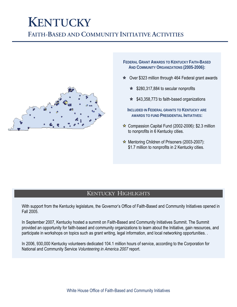### **KENTUCKY FAITH-BASED AND COMMUNITY INITIATIVE ACTIVITIES**



- **FEDERAL GRANT AWARDS TO KENTUCKY FAITH-BASED AND COMMUNITY ORGANIZATIONS (2005-2006):**
- $\star$  Over \$323 million through 464 Federal grant awards
	- $\star$  \$280,317,884 to secular nonprofits
	- $\star$  \$43,358,773 to faith-based organizations
	- **INCLUDED IN FEDERAL GRANTS TO KENTUCKY ARE AWARDS TO FUND PRESIDENTIAL INITIATIVES:**
- $\hat{\mathbf{x}}$  Compassion Capital Fund (2002-2006): \$2.3 million to nonprofits in 6 Kentucky cities.
- $\hat{\mathbf{x}}$  Mentoring Children of Prisoners (2003-2007): \$1.7 million to nonprofits in 2 Kentucky cities.

### KENTUCKY HIGHLIGHTS

With support from the Kentucky legislature, the Governor's Office of Faith-Based and Community Initiatives opened in Fall 2005.

In September 2007, Kentucky hosted a summit on Faith-Based and Community Initiatives Summit. The Summit provided an opportunity for faith-based and community organizations to learn about the Initiative, gain resources, and participate in workshops on topics such as grant writing, legal information, and local networking opportunities. .

In 2006, 930,000 Kentucky volunteers dedicated 104.1 million hours of service, according to the Corporation for National and Community Service *Volunteering in America 2007* report.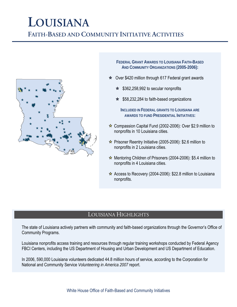## **LOUISIANA**

**FAITH-BASED AND COMMUNITY INITIATIVE ACTIVITIES**



**FEDERAL GRANT AWARDS TO LOUISIANA FAITH-BASED AND COMMUNITY ORGANIZATIONS (2005-2006):**

- $\star$  Over \$420 million through 617 Federal grant awards
	- $\star$  \$362,258,992 to secular nonprofits
	- $\star$  \$58,232,284 to faith-based organizations

**INCLUDED IN FEDERAL GRANTS TO LOUISIANA ARE AWARDS TO FUND PRESIDENTIAL INITIATIVES:**

- $\hat{\mathbf{x}}$  Compassion Capital Fund (2002-2006): Over \$2.9 million to nonprofits in 10 Louisiana cities.
- $\hat{\mathbf{x}}$  Prisoner Reentry Initiative (2005-2006): \$2.6 million to nonprofits in 2 Louisiana cities.
- $\star$  Mentoring Children of Prisoners (2004-2006): \$5.4 million to nonprofits in 4 Louisiana cities.
- $\hat{\mathbf{x}}$  Access to Recovery (2004-2006): \$22.8 million to Louisiana nonprofits.

### LOUISIANA HIGHLIGHTS

The state of Louisiana actively partners with community and faith-based organizations through the Governor's Office of Community Programs.

Louisiana nonprofits access training and resources through regular training workshops conducted by Federal Agency FBCI Centers, including the US Department of Housing and Urban Development and US Department of Education.

In 2006, 590,000 Louisiana volunteers dedicated 44.8 million hours of service, according to the Corporation for National and Community Service *Volunteering in America 2007* report.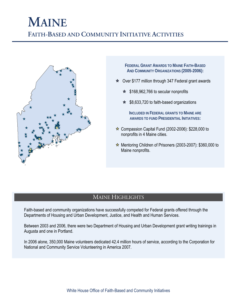### **MAINE FAITH-BASED AND COMMUNITY INITIATIVE ACTIVITIES**



**FEDERAL GRANT AWARDS TO MAINE FAITH-BASED AND COMMUNITY ORGANIZATIONS (2005-2006):**

- $\star$  Over \$177 million through 347 Federal grant awards
	- $\star$  \$168,962,766 to secular nonprofits
	- $\star$  \$8,633,720 to faith-based organizations

**INCLUDED IN FEDERAL GRANTS TO MAINE ARE AWARDS TO FUND PRESIDENTIAL INITIATIVES:**

- $\star$  Compassion Capital Fund (2002-2006): \$228,000 to nonprofits in 4 Maine cities.
- $\star$  Mentoring Children of Prisoners (2003-2007): \$360,000 to Maine nonprofits.

### MAINE HIGHLIGHTS

Faith-based and community organizations have successfully competed for Federal grants offered through the Departments of Housing and Urban Development, Justice, and Health and Human Services.

Between 2003 and 2006, there were two Department of Housing and Urban Development grant writing trainings in Augusta and one in Portland.

In 2006 alone, 350,000 Maine volunteers dedicated 42.4 million hours of service, according to the Corporation for National and Community Service Volunteering in America 2007.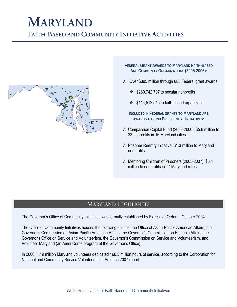## **MARYLAND**

**FAITH-BASED AND COMMUNITY INITIATIVE ACTIVITIES**



**FEDERAL GRANT AWARDS TO MARYLAND FAITH-BASED AND COMMUNITY ORGANIZATIONS (2005-2006):**

- $\star$  Over \$395 million through 683 Federal grant awards
	- $\star$  \$280,742,797 to secular nonprofits
	- $\star$  \$114,512,545 to faith-based organizations

**INCLUDED IN FEDERAL GRANTS TO MARYLAND ARE AWARDS TO FUND PRESIDENTIAL INITIATIVES:**

- $\hat{\mathbf{x}}$  Compassion Capital Fund (2002-2006): \$5.6 million to 23 nonprofits in 16 Maryland cities.
- $\hat{\mathbf{x}}$  Prisoner Reentry Initiative: \$1.3 million to Maryland nonprofits.
- $\hat{x}$  Mentoring Children of Prisoners (2003-2007): \$6.4 million to nonprofits in 17 Maryland cities.

### MARYLAND HIGHLIGHTS

The Governor's Office of Community Initiatives was formally established by Executive Order in October 2004.

The Office of Community Initiatives houses the following entities: the Office of Asian-Pacific American Affairs; the Governor's Commission on Asian-Pacific American Affairs; the Governor's Commission on Hispanic Affairs; the Governor's Office on Service and Volunteerism, the Governor's Commission on Service and Volunteerism, and Volunteer Maryland (an AmeriCorps program of the Governor's Office).

In 2006, 1.19 million Maryland volunteers dedicated 166.5 million hours of service, according to the Corporation for National and Community Service Volunteering in America 2007 report.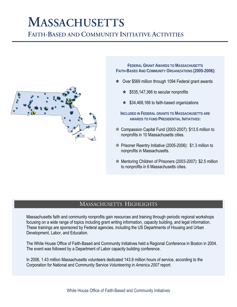## **MASSACHUSETTS**

**FAITH-BASED AND COMMUNITY INITIATIVE ACTIVITIES**



**FEDERAL GRANT AWARDS TO MASSACHUSETTS FAITH-BASED AND COMMUNITY ORGANIZATIONS (2005-2006):**

- $\star$  Over \$569 million through 1094 Federal grant awards
	- $\star$  \$535,147,366 to secular nonprofits
	- $\star$  \$34,468,166 to faith-based organizations
	- **INCLUDED IN FEDERAL GRANTS TO MASSACHUSETTS ARE AWARDS TO FUND PRESIDENTIAL INITIATIVES:**
- $\hat{\mathbf{x}}$  Compassion Capital Fund (2003-2007): \$13.5 million to nonprofits in 10 Massachusetts cities.
- $\hat{\mathbf{x}}$  Prisoner Reentry Initiative (2005-2006): \$1.3 million to nonprofits in Massachusetts.
- $\star$  Mentoring Children of Prisoners (2003-2007): \$2.5 million to nonprofits in 6 Massachusetts cities.

### MASSACHUSETTS HIGHLIGHTS

Massachusetts faith and community nonprofits gain resources and training through periodic regional workshops focusing on a wide range of topics including grant writing information, capacity building, and legal information. These trainings are sponsored by Federal agencies, including the US Departments of Housing and Urban Development, Labor, and Education.

The White House Office of Faith-Based and Community Initiatives held a Regional Conference in Boston in 2004. The event was followed by a Department of Labor capacity building conference.

In 2006, 1.43 million Massachusetts volunteers dedicated 143.8 million hours of service, according to the Corporation for National and Community Service *Volunteering in America 2007* report.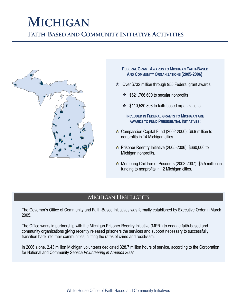# **MICHIGAN**

**FAITH-BASED AND COMMUNITY INITIATIVE ACTIVITIES**



**FEDERAL GRANT AWARDS TO MICHIGAN FAITH-BASED AND COMMUNITY ORGANIZATIONS (2005-2006):**

- $\star$  Over \$732 million through 955 Federal grant awards
	- $\star$  \$621,766,600 to secular nonprofits
	- $\star$  \$110,530,803 to faith-based organizations

**INCLUDED IN FEDERAL GRANTS TO MICHIGAN ARE AWARDS TO FUND PRESIDENTIAL INITIATIVES:**

- $\hat{\varphi}$  Compassion Capital Fund (2002-2006): \$6.9 million to nonprofits in 14 Michigan cities.
- $\angle$  Prisoner Reentry Initiative (2005-2006): \$660,000 to Michigan nonprofits.
- $\hat{\mathbf{x}}$  Mentoring Children of Prisoners (2003-2007): \$5.5 million in funding to nonprofits in 12 Michigan cities.

### MICHIGAN HIGHLIGHTS

The Governor's Office of Community and Faith-Based Initiatives was formally established by Executive Order in March 2005.

The Office works in partnership with the Michigan Prisoner Reentry Initiative (MPRI) to engage faith-based and community organizations giving recently released prisoners the services and support necessary to successfully transition back into their communities, cutting the rates of crime and recidivism.

In 2006 alone, 2.43 million Michigan volunteers dedicated 328.7 million hours of service, according to the Corporation for National and Community Service *Volunteering in America 2007*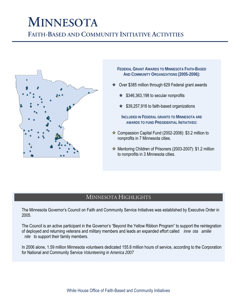# **MINNESOTA**

**FAITH-BASED AND COMMUNITY INITIATIVE ACTIVITIES**



**FEDERAL GRANT AWARDS TO MINNESOTA FAITH-BASED AND COMMUNITY ORGANIZATIONS (2005-2006):**

- Over \$385 million through 629 Federal grant awards
	- $\star$  \$346,363,198 to secular nonprofits
	- $\star$  \$39,257,916 to faith-based organizations

**INCLUDED IN FEDERAL GRANTS TO MINNESOTA ARE AWARDS TO FUND PRESIDENTIAL INITIATIVES:**

- $\hat{\mathbf{x}}$  Compassion Capital Fund (2002-2006): \$3.2 million to nonprofits in 7 Minnesota cities.
- Mentoring Children of Prisoners (2003-2007): \$1.2 million to nonprofits in 3 Minnesota cities.

#### MINNESOTA HIGHLIGHTS

The Minnesota Governor's Council on Faith and Community Service Initiatives was established by Executive Order in 2005.

The Council is an active participant in the Governor's "Beyond the Yellow Ribbon Program" to support the reintegration of deployed and returning veterans and military members and leads an expanded effort called *inne ota amilie nite* to support their family members.

In 2006 alone, 1.59 million Minnesota volunteers dedicated 155.8 million hours of service, according to the Corporation for National and Community Service *Volunteering in America 2007*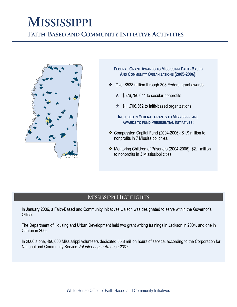# **MISSISSIPPI**

**FAITH-BASED AND COMMUNITY INITIATIVE ACTIVITIES**



- **FEDERAL GRANT AWARDS TO MISSISSIPPI FAITH-BASED AND COMMUNITY ORGANIZATIONS (2005-2006):**
- $\star$  Over \$538 million through 308 Federal grant awards
	- $\star$  \$526,796,014 to secular nonprofits
	- $\star$  \$11,706,362 to faith-based organizations

**INCLUDED IN FEDERAL GRANTS TO MISSISSIPPI ARE AWARDS TO FUND PRESIDENTIAL INITIATIVES:**

- $\hat{\mathbf{x}}$  Compassion Capital Fund (2004-2006): \$1.9 million to nonprofits in 7 Mississippi cities.
- $\hat{x}$  Mentoring Children of Prisoners (2004-2006): \$2.1 million to nonprofits in 3 Mississippi cities.

#### MISSISSIPPI HIGHLIGHTS

In January 2006, a Faith-Based and Community Initiatives Liaison was designated to serve within the Governor's Office.

The Department of Housing and Urban Development held two grant writing trainings in Jackson in 2004, and one in Canton in 2006.

In 2006 alone, 490,000 Mississippi volunteers dedicated 55.8 million hours of service, according to the Corporation for National and Community Service *Volunteering in America 2007*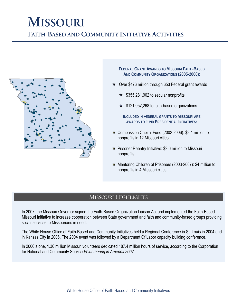## **MISSOURI**

**FAITH-BASED AND COMMUNITY INITIATIVE ACTIVITIES**



**FEDERAL GRANT AWARDS TO MISSOURI FAITH-BASED AND COMMUNITY ORGANIZATIONS (2005-2006):**

- $\star$  Over \$476 million through 653 Federal grant awards
	- $\star$  \$355,281,902 to secular nonprofits
	- $\star$  \$121,057,268 to faith-based organizations

**INCLUDED IN FEDERAL GRANTS TO MISSOURI ARE AWARDS TO FUND PRESIDENTIAL INITIATIVES:**

- $\star$  Compassion Capital Fund (2002-2006): \$3.1 million to nonprofits in 12 Missouri cities.
- $\hat{\mathbf{x}}$  Prisoner Reentry Initiative: \$2.6 million to Missouri nonprofits.
- Mentoring Children of Prisoners (2003-2007): \$4 million to nonprofits in 4 Missouri cities.

### MISSOURI HIGHLIGHTS

In 2007, the Missouri Governor signed the Faith-Based Organization Liaison Act and implemented the Faith-Based Missouri Initiative to increase cooperation between State government and faith and community-based groups providing social services to Missourians in need.

The White House Office of Faith-Based and Community Initiatives held a Regional Conference in St. Louis in 2004 and in Kansas City in 2006. The 2004 event was followed by a Department Of Labor capacity building conference.

In 2006 alone, 1.36 million Missouri volunteers dedicated 187.4 million hours of service, according to the Corporation for National and Community Service *Volunteering in America 2007*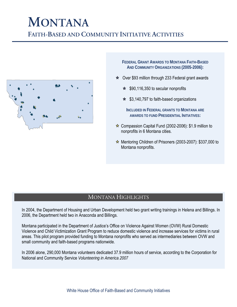## **MONTANA**

**FAITH-BASED AND COMMUNITY INITIATIVE ACTIVITIES**



**FEDERAL GRANT AWARDS TO MONTANA FAITH-BASED AND COMMUNITY ORGANIZATIONS (2005-2006):**

- $\star$  Over \$93 million through 233 Federal grant awards
	- $\star$  \$90,116,350 to secular nonprofits
	- $\star$  \$3,140,797 to faith-based organizations

**INCLUDED IN FEDERAL GRANTS TO MONTANA ARE AWARDS TO FUND PRESIDENTIAL INITIATIVES:**

- $\hat{\mathbf{x}}$  Compassion Capital Fund (2002-2006): \$1.9 million to nonprofits in 6 Montana cities.
- $\hat{\mathbf{x}}$  Mentoring Children of Prisoners (2003-2007): \$337,000 to Montana nonprofits.

### MONTANA HIGHLIGHTS

In 2004, the Department of Housing and Urban Development held two grant writing trainings in Helena and Billings. In 2006, the Department held two in Anaconda and Billings.

Montana participated in the Department of Justice's Office on Violence Against Women (OVW) Rural Domestic Violence and Child Victimization Grant Program to reduce domestic violence and increase services for victims in rural areas. This pilot program provided funding to Montana nonprofits who served as intermediaries between OVW and small community and faith-based programs nationwide.

In 2006 alone, 290,000 Montana volunteers dedicated 37.9 million hours of service, according to the Corporation for National and Community Service *Volunteering in America 2007*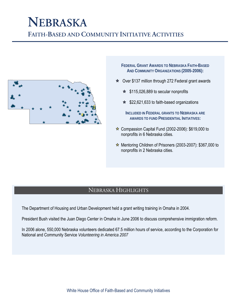## **NEBRASKA**

**FAITH-BASED AND COMMUNITY INITIATIVE ACTIVITIES**



**FEDERAL GRANT AWARDS TO NEBRASKA FAITH-BASED AND COMMUNITY ORGANIZATIONS (2005-2006):**

- Over \$137 million through 272 Federal grant awards
	- $\star$  \$115,026,889 to secular nonprofits
	- $\star$  \$22,621,633 to faith-based organizations

**INCLUDED IN FEDERAL GRANTS TO NEBRASKA ARE AWARDS TO FUND PRESIDENTIAL INITIATIVES:**

- $\hat{\mathbf{x}}$  Compassion Capital Fund (2002-2006): \$619,000 to nonprofits in 6 Nebraska cities.
- $\star$  Mentoring Children of Prisoners (2003-2007): \$367,000 to nonprofits in 2 Nebraska cities.

### NEBRASKA HIGHLIGHTS

The Department of Housing and Urban Development held a grant writing training in Omaha in 2004.

President Bush visited the Juan Diego Center in Omaha in June 2006 to discuss comprehensive immigration reform.

In 2006 alone, 550,000 Nebraska volunteers dedicated 67.5 million hours of service, according to the Corporation for National and Community Service *Volunteering in America 2007*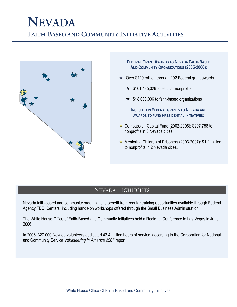### **NEVADA FAITH-BASED AND COMMUNITY INITIATIVE ACTIVITIES**



**FEDERAL GRANT AWARDS TO NEVADA FAITH-BASED AND COMMUNITY ORGANIZATIONS (2005-2006):**

- $\star$  Over \$119 million through 192 Federal grant awards
	- $\star$  \$101,425,026 to secular nonprofits
	- $\star$  \$18,003,036 to faith-based organizations

**INCLUDED IN FEDERAL GRANTS TO NEVADA ARE AWARDS TO FUND PRESIDENTIAL INITIATIVES:**

- $\hat{\mathbf{x}}$  Compassion Capital Fund (2002-2006): \$297,758 to nonprofits in 3 Nevada cities.
- $\star$  Mentoring Children of Prisoners (2003-2007): \$1.2 million to nonprofits in 2 Nevada cities.

### NEVADA HIGHLIGHTS

Nevada faith-based and community organizations benefit from regular training opportunities available through Federal Agency FBCI Centers, including hands-on workshops offered through the Small Business Administration.

The White House Office of Faith-Based and Community Initiatives held a Regional Conference in Las Vegas in June 2006.

In 2006, 320,000 Nevada volunteers dedicated 42.4 million hours of service, according to the Corporation for National and Community Service *Volunteering in America 2007* report.